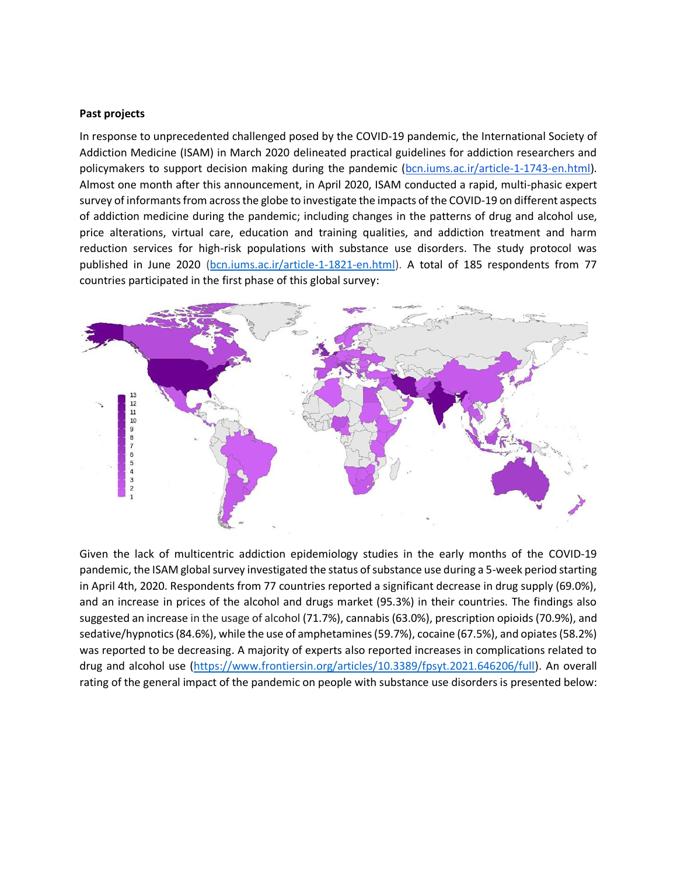## **Past projects**

In response to unprecedented challenged posed by the COVID-19 pandemic, the International Society of Addiction Medicine (ISAM) in March 2020 delineated practical guidelines for addiction researchers and policymakers to support decision making during the pandemic [\(bcn.iums.ac.ir/article-1-1743-en.html\)](http://bcn.iums.ac.ir/article-1-1743-en.html). Almost one month after this announcement, in April 2020, ISAM conducted a rapid, multi-phasic expert survey of informants from across the globe to investigate the impacts of the COVID-19 on different aspects of addiction medicine during the pandemic; including changes in the patterns of drug and alcohol use, price alterations, virtual care, education and training qualities, and addiction treatment and harm reduction services for high-risk populations with substance use disorders. [The study protocol](http://bcn.iums.ac.ir/article-1-1821-en.html) was published in June 2020 [\(bcn.iums.ac.ir/article-1-1821-en.html\)](http://bcn.iums.ac.ir/article-1-1821-en.html). A total of 185 respondents from 77 countries participated in the first phase of this global survey:



Given the lack of multicentric addiction epidemiology studies in the early months of the COVID-19 pandemic, the ISAM global survey investigated the status of substance use during a 5-week period starting in April 4th, 2020. Respondents from 77 countries reported a significant decrease in drug supply (69.0%), and an increase in prices of the alcohol and drugs market (95.3%) in their countries. The findings also suggested an increase in the usage of alcohol (71.7%), cannabis (63.0%), prescription opioids (70.9%), and sedative/hypnotics (84.6%), while the use of amphetamines (59.7%), cocaine (67.5%), and opiates (58.2%) was reported to be decreasing. A majority of experts also reported increases in complications related to drug and alcohol use [\(https://www.frontiersin.org/articles/10.3389/fpsyt.2021.646206/full\)](https://www.frontiersin.org/articles/10.3389/fpsyt.2021.646206/full). An overall rating of the general impact of the pandemic on people with substance use disorders is presented below: